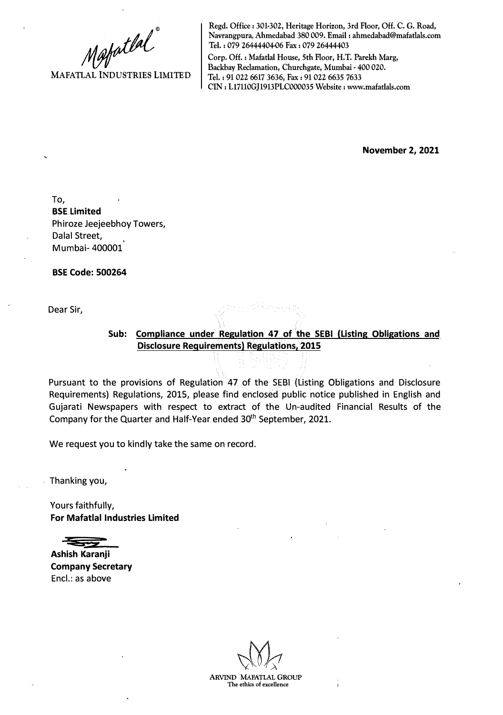Mafatlal<sup>"</sup>

**Regd. Office: 301-302, Heritage Horizon, 3rd Floor, Off. C. G. Road, Navrangpura, Ahmedabad 380 009. Email: ahmedabad@mafatlals.com Tel. : 079 26444404-06 Fax : 079 26444403** 

**Corp. Off.: Mafatlal House, 5th Floor, H.T. Parekh Marg, Backbay Reclamation, Churchgate, Mumbai - 400 020. Tel.: 91 022 6617 3636, Fax: 91 022 6635 7633 CIN: Ll7110GJ1913PLC000035 Website: www.mafatlals.com** 

**November 2, 2021** 

To, **BSE Limited**  Phiroze Jeejeebhoy Towers, Dalal Street, Mumbai- 400001

**BSE Code: 500264** 

Dear Sir,

## **Sub: Compliance under Regulation 47 of the SEBI (Listing Obligations and Disclosure Requirements) Regulations, 2015**

Pursuant to the provisions of Regulation 47 of the SEBI (Listing Obligations and Disclosure Requirements) Regulations, 2015, please find enclosed public notice published in English and Gujarati Newspapers with respect to extract of the Un-audited Financial Results of the Company for the Quarter and Half-Year ended 30<sup>th</sup> September, 2021.

We request you to kindly take the same on record.

. Thanking you,

Yours faithfully, **For Mafatlal Industries Limited** 

**Ashish Karanji Company Secretary**  Encl.: as above

**ADVIND MARATLAL GROUP The ethics of excellence**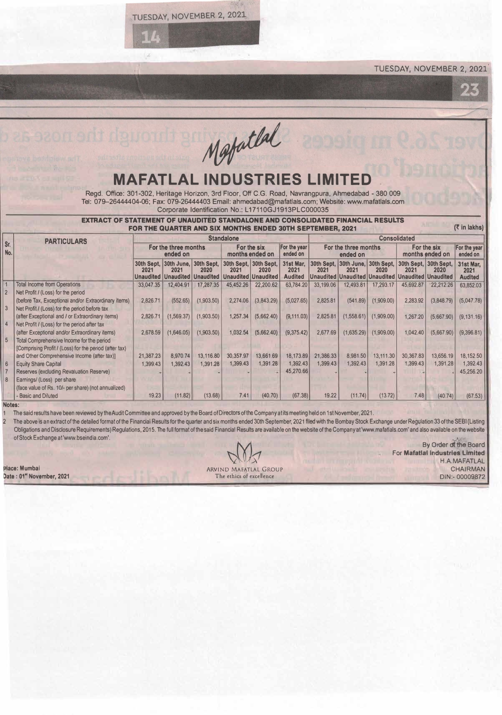TUESDAY, NOVEMBER 2, 2021

TUESDAY, NOVEMBER 2, 2021·

Mestatlal

## **MAFATLAL INDUSTRIES**

Regd. Office: 301-302, Heritage Horizon, 3rd Floor, Off C.G. Road, Navrangpura, Ahmadabad - 380 009 Tel: 079-26444404-06; Fax: 079-26444403 Email: ahmedabad@mafatlals.com; Website: www.mafatlals.com Corporate Identification No.: L17110GJ1913PLC000035

|                | <b>EXTRACT</b>                                                                                        |                                  |                                          | <b>FOR THE QUARTER AND SIX MONTHS ENDED 30TH SEPTEMBER, 2021</b>  |                                |                               |                                     |                                  |                     | NANCIAL RESULTS                                                               |                                                             |                       | $(5 \in \mathsf{In} \mathsf{lakhs})$ |  |  |
|----------------|-------------------------------------------------------------------------------------------------------|----------------------------------|------------------------------------------|-------------------------------------------------------------------|--------------------------------|-------------------------------|-------------------------------------|----------------------------------|---------------------|-------------------------------------------------------------------------------|-------------------------------------------------------------|-----------------------|--------------------------------------|--|--|
|                | <b>PARTICULARS</b>                                                                                    | <b>Standalone</b>                |                                          |                                                                   |                                |                               |                                     |                                  | <b>Consolidated</b> |                                                                               |                                                             |                       |                                      |  |  |
| Sr.<br>No.     |                                                                                                       | For the three months<br>ended on |                                          |                                                                   | For the six<br>months ended on |                               | For the year<br>ended on            | For the three months<br>ended on |                     |                                                                               | For the six<br>months ended on                              |                       | For the year<br>ended on             |  |  |
|                |                                                                                                       | 2021                             | 30th Sept. 30th June. 30th Sept.<br>2021 | 2020<br>Unaudited   Unaudited   Unaudited   Unaudited   Unaudited | 2021                           | 30th Sept, 30th Sept,<br>2020 | 31st Mar.<br>2021<br><b>Audited</b> | 2021                             | 2021                | 30th Sept, 30th June, 30th Sept,<br>2020<br>Unaudited   Unaudited   Unaudited | 30th Sept, 30th Sept,<br>2021<br><b>Unaudited Unaudited</b> | 2020                  | 31st Mar,<br>2021<br><b>Audited</b>  |  |  |
|                | <b>Total Income from Operations</b><br>Net Profit / (Loss) for the period                             | 33,047.35                        | 12,404.91                                | 17,287.35                                                         | 45,452.26                      | 22,200.62                     | 63,784.20                           | 33,199.06                        | 12,493.81           | 17,293.17                                                                     | 45.692.87                                                   | 22,212.26             | 63,852.03                            |  |  |
| $\overline{3}$ | (before Tax, Exceptional and/or Extraordinary items)<br>Net Profit / (Loss) for the period before tax | 2.826.71                         | (552.65)                                 | (1,903.50)                                                        | 2,274.06                       | (3,843.29)                    | (5,027.65)                          | 2,825.81                         | (541.89)            | (1,909.00)                                                                    | 2.283.92                                                    | (3,848.79)            | (5,047.78)                           |  |  |
|                | (after Exceptional and / or Extraordinary items)<br>Net Profit / (Loss) for the period after tax      | 2,826.71                         | (1,569.37)                               | (1,903.50)                                                        | 1.257.34                       | (5,662.40)                    | (9, 111.03)                         | 2,825.81                         | (1,558.61)          | (1,909.00)                                                                    | 1,267.20                                                    | (5,667.90)            | (9.131.16)                           |  |  |
|                | (after Exceptional and/or Extraordinary items)<br>Total Comprehensive Income for the period           | 2,678.59                         | (1,646.05)                               | (1,903.50)                                                        | 1,032.54                       | (5,662.40)                    | (9,375.42)                          | 2,677.69                         | (1,635.29)          | (1,909.00)                                                                    | 1,042.40                                                    | (5,667.90)            | (9,396.81)                           |  |  |
| 6              | [Comprising Profit / (Loss) for the period (after tax)<br>and Other Comprehensive Income (after tax)] | 21,387.23                        | 8,970.74<br>1,392.43                     | 13,116.80                                                         | 30,357.97<br>1,399.43          | 13,661.69                     | 18,173.89<br>1,392.43               | 21,386.33<br>1,399.43            | 8.981.50            | 13,111.30                                                                     | 30,367.83<br>1,399.43                                       | 13,656.19<br>1,391.28 | 18,152.50                            |  |  |
|                | <b>Equity Share Capital</b><br>Reserves (excluding Revaluation Reserve)                               | 1,399.43                         |                                          | 1,391.28                                                          |                                | 1,391.28                      | 45,270.66                           |                                  | 1,392.43            | 1,391.28                                                                      |                                                             |                       | 1,392.43<br>45,256.20                |  |  |
|                | Earnings/ (Loss) per share<br>(face value of Rs. 10/- per share) (not annualized)                     |                                  |                                          |                                                                   |                                |                               |                                     |                                  |                     |                                                                               |                                                             |                       |                                      |  |  |
|                | <b>Basic and Diluted</b>                                                                              | 19.23                            | (11.82)                                  | (13.68)                                                           | 7.41                           | (40.70)                       | (67.38)                             | 19.22                            | (11.74)             | (13.72)                                                                       | 7.48                                                        | (40.74)               | (67.53)                              |  |  |

## **Notes:**

1 The said results have been reviewed by the Audit Committee and approved by the Board of Directors of the Company at its meeting held on 1st November, 2021.<br>2 The above is an extract of the detailed format of the Financia The above is an extract of the detailed format of the Financial Results for the quarter and six months ended 30th September, 2021 filed with the Bombay Stock Exchange under Regulation 33 of the SEBI (Listing Obligations and Disclosure Requirements) Regulations, 2015. The full format of the said Financial Results are available on the website of the Company at 'www.mafatlals.com' and also available on the website of Stock Exchange at 'www.bseindia.com'.

**lace: Mumbai Date : 01• November, 2021** 

ARVIND MAFATLAL GROUP

The ethics of excellence

By Order df **the** Board For **Mafatlal Industries Limited**  \_\ H.A.MAFATLAL CHAIRMAN DIN:- 00009872